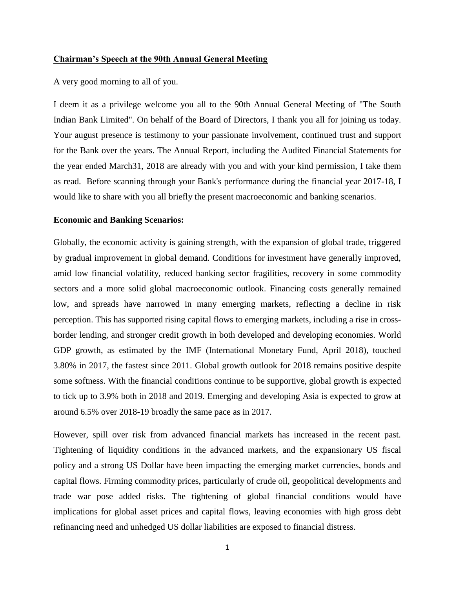#### **Chairman's Speech at the 90th Annual General Meeting**

A very good morning to all of you.

I deem it as a privilege welcome you all to the 90th Annual General Meeting of "The South Indian Bank Limited". On behalf of the Board of Directors, I thank you all for joining us today. Your august presence is testimony to your passionate involvement, continued trust and support for the Bank over the years. The Annual Report, including the Audited Financial Statements for the year ended March31, 2018 are already with you and with your kind permission, I take them as read. Before scanning through your Bank's performance during the financial year 2017-18, I would like to share with you all briefly the present macroeconomic and banking scenarios.

#### **Economic and Banking Scenarios:**

Globally, the economic activity is gaining strength, with the expansion of global trade, triggered by gradual improvement in global demand. Conditions for investment have generally improved, amid low financial volatility, reduced banking sector fragilities, recovery in some commodity sectors and a more solid global macroeconomic outlook. Financing costs generally remained low, and spreads have narrowed in many emerging markets, reflecting a decline in risk perception. This has supported rising capital flows to emerging markets, including a rise in crossborder lending, and stronger credit growth in both developed and developing economies. World GDP growth, as estimated by the IMF (International Monetary Fund, April 2018), touched 3.80% in 2017, the fastest since 2011. Global growth outlook for 2018 remains positive despite some softness. With the financial conditions continue to be supportive, global growth is expected to tick up to 3.9% both in 2018 and 2019. Emerging and developing Asia is expected to grow at around 6.5% over 2018-19 broadly the same pace as in 2017.

However, spill over risk from advanced financial markets has increased in the recent past. Tightening of liquidity conditions in the advanced markets, and the expansionary US fiscal policy and a strong US Dollar have been impacting the emerging market currencies, bonds and capital flows. Firming commodity prices, particularly of crude oil, geopolitical developments and trade war pose added risks. The tightening of global financial conditions would have implications for global asset prices and capital flows, leaving economies with high gross debt refinancing need and unhedged US dollar liabilities are exposed to financial distress.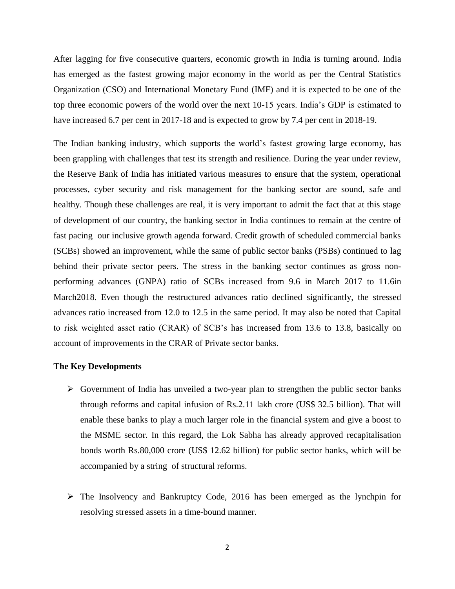After lagging for five consecutive quarters, economic growth in India is turning around. India has emerged as the fastest growing major economy in the world as per the Central Statistics Organization (CSO) and International Monetary Fund (IMF) and it is expected to be one of the top three economic powers of the world over the next 10-15 years. India's GDP is estimated to have increased 6.7 per cent in 2017-18 and is expected to grow by 7.4 per cent in 2018-19.

The Indian banking industry, which supports the world's fastest growing large economy, has been grappling with challenges that test its strength and resilience. During the year under review, the Reserve Bank of India has initiated various measures to ensure that the system, operational processes, cyber security and risk management for the banking sector are sound, safe and healthy. Though these challenges are real, it is very important to admit the fact that at this stage of development of our country, the banking sector in India continues to remain at the centre of fast pacing our inclusive growth agenda forward. Credit growth of scheduled commercial banks (SCBs) showed an improvement, while the same of public sector banks (PSBs) continued to lag behind their private sector peers. The stress in the banking sector continues as gross nonperforming advances (GNPA) ratio of SCBs increased from 9.6 in March 2017 to 11.6in March2018. Even though the restructured advances ratio declined significantly, the stressed advances ratio increased from 12.0 to 12.5 in the same period. It may also be noted that Capital to risk weighted asset ratio (CRAR) of SCB's has increased from 13.6 to 13.8, basically on account of improvements in the CRAR of Private sector banks.

## **The Key Developments**

- $\triangleright$  Government of India has unveiled a two-year plan to strengthen the public sector banks through reforms and capital infusion of Rs.2.11 lakh crore (US\$ 32.5 billion). That will enable these banks to play a much larger role in the financial system and give a boost to the MSME sector. In this regard, the Lok Sabha has already approved recapitalisation bonds worth Rs.80,000 crore (US\$ 12.62 billion) for public sector banks, which will be accompanied by a string of structural reforms.
- The Insolvency and Bankruptcy Code, 2016 has been emerged as the lynchpin for resolving stressed assets in a time-bound manner.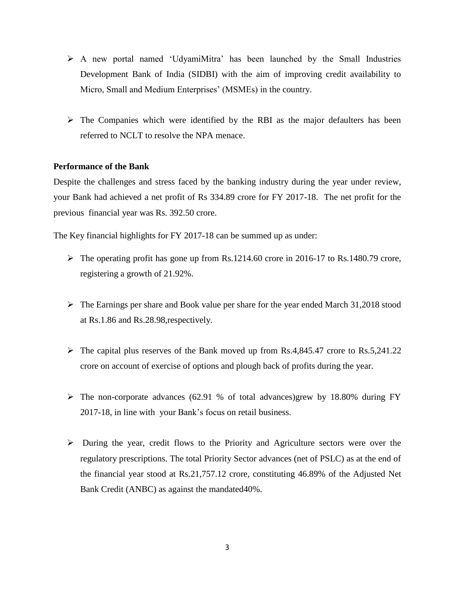- A new portal named 'UdyamiMitra' has been launched by the Small Industries Development Bank of India (SIDBI) with the aim of improving credit availability to Micro, Small and Medium Enterprises' (MSMEs) in the country.
- $\triangleright$  The Companies which were identified by the RBI as the major defaulters has been referred to NCLT to resolve the NPA menace.

# **Performance of the Bank**

Despite the challenges and stress faced by the banking industry during the year under review, your Bank had achieved a net profit of Rs 334.89 crore for FY 2017-18. The net profit for the previous financial year was Rs. 392.50 crore.

The Key financial highlights for FY 2017-18 can be summed up as under:

- $\triangleright$  The operating profit has gone up from Rs.1214.60 crore in 2016-17 to Rs.1480.79 crore, registering a growth of 21.92%.
- $\triangleright$  The Earnings per share and Book value per share for the year ended March 31,2018 stood at Rs.1.86 and Rs.28.98,respectively.
- $\triangleright$  The capital plus reserves of the Bank moved up from Rs.4,845.47 crore to Rs.5,241.22 crore on account of exercise of options and plough back of profits during the year.
- $\triangleright$  The non-corporate advances (62.91 % of total advances)grew by 18.80% during FY 2017-18, in line with your Bank's focus on retail business.
- $\triangleright$  During the year, credit flows to the Priority and Agriculture sectors were over the regulatory prescriptions. The total Priority Sector advances (net of PSLC) as at the end of the financial year stood at Rs.21,757.12 crore, constituting 46.89% of the Adjusted Net Bank Credit (ANBC) as against the mandated40%.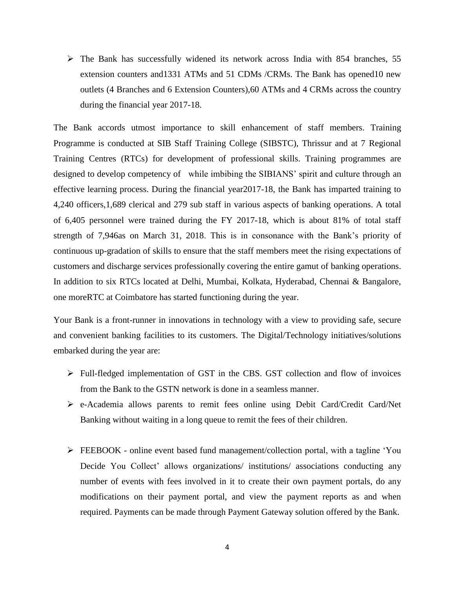$\triangleright$  The Bank has successfully widened its network across India with 854 branches, 55 extension counters and1331 ATMs and 51 CDMs /CRMs. The Bank has opened10 new outlets (4 Branches and 6 Extension Counters),60 ATMs and 4 CRMs across the country during the financial year 2017-18.

The Bank accords utmost importance to skill enhancement of staff members. Training Programme is conducted at SIB Staff Training College (SIBSTC), Thrissur and at 7 Regional Training Centres (RTCs) for development of professional skills. Training programmes are designed to develop competency of while imbibing the SIBIANS' spirit and culture through an effective learning process. During the financial year2017-18, the Bank has imparted training to 4,240 officers,1,689 clerical and 279 sub staff in various aspects of banking operations. A total of 6,405 personnel were trained during the FY 2017-18, which is about 81% of total staff strength of 7,946as on March 31, 2018. This is in consonance with the Bank's priority of continuous up-gradation of skills to ensure that the staff members meet the rising expectations of customers and discharge services professionally covering the entire gamut of banking operations. In addition to six RTCs located at Delhi, Mumbai, Kolkata, Hyderabad, Chennai & Bangalore, one moreRTC at Coimbatore has started functioning during the year.

Your Bank is a front-runner in innovations in technology with a view to providing safe, secure and convenient banking facilities to its customers. The Digital/Technology initiatives/solutions embarked during the year are:

- Full-fledged implementation of GST in the CBS. GST collection and flow of invoices from the Bank to the GSTN network is done in a seamless manner.
- e-Academia allows parents to remit fees online using Debit Card/Credit Card/Net Banking without waiting in a long queue to remit the fees of their children.
- FEEBOOK online event based fund management/collection portal, with a tagline 'You Decide You Collect' allows organizations/ institutions/ associations conducting any number of events with fees involved in it to create their own payment portals, do any modifications on their payment portal, and view the payment reports as and when required. Payments can be made through Payment Gateway solution offered by the Bank.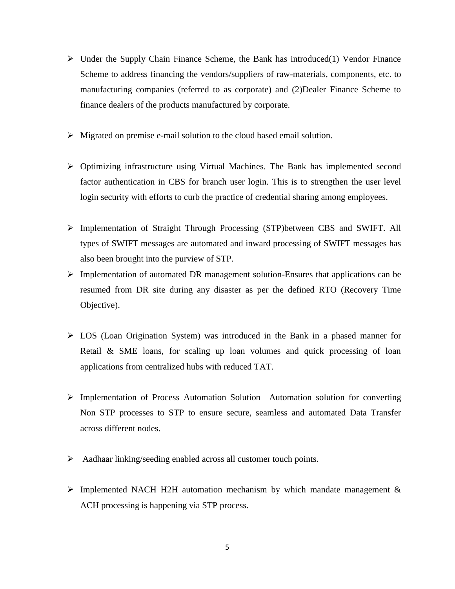- $\triangleright$  Under the Supply Chain Finance Scheme, the Bank has introduced(1) Vendor Finance Scheme to address financing the vendors/suppliers of raw-materials, components, etc. to manufacturing companies (referred to as corporate) and (2)Dealer Finance Scheme to finance dealers of the products manufactured by corporate.
- $\triangleright$  Migrated on premise e-mail solution to the cloud based email solution.
- $\triangleright$  Optimizing infrastructure using Virtual Machines. The Bank has implemented second factor authentication in CBS for branch user login. This is to strengthen the user level login security with efforts to curb the practice of credential sharing among employees.
- Implementation of Straight Through Processing (STP)between CBS and SWIFT. All types of SWIFT messages are automated and inward processing of SWIFT messages has also been brought into the purview of STP.
- $\triangleright$  Implementation of automated DR management solution-Ensures that applications can be resumed from DR site during any disaster as per the defined RTO (Recovery Time Objective).
- $\triangleright$  LOS (Loan Origination System) was introduced in the Bank in a phased manner for Retail & SME loans, for scaling up loan volumes and quick processing of loan applications from centralized hubs with reduced TAT.
- Implementation of Process Automation Solution –Automation solution for converting Non STP processes to STP to ensure secure, seamless and automated Data Transfer across different nodes.
- Aadhaar linking/seeding enabled across all customer touch points.
- $\triangleright$  Implemented NACH H2H automation mechanism by which mandate management & ACH processing is happening via STP process.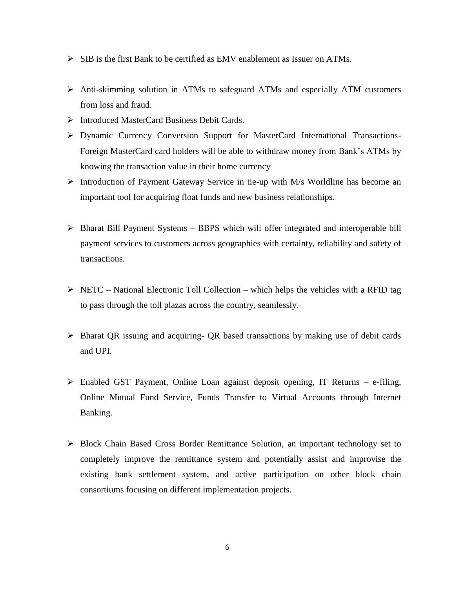- $\triangleright$  SIB is the first Bank to be certified as EMV enablement as Issuer on ATMs.
- Anti-skimming solution in ATMs to safeguard ATMs and especially ATM customers from loss and fraud.
- Introduced MasterCard Business Debit Cards.
- Dynamic Currency Conversion Support for MasterCard International Transactions-Foreign MasterCard card holders will be able to withdraw money from Bank's ATMs by knowing the transaction value in their home currency
- Introduction of Payment Gateway Service in tie-up with M/s Worldline has become an important tool for acquiring float funds and new business relationships.
- $\triangleright$  Bharat Bill Payment Systems BBPS which will offer integrated and interoperable bill payment services to customers across geographies with certainty, reliability and safety of transactions.
- $\triangleright$  NETC National Electronic Toll Collection which helps the vehicles with a RFID tag to pass through the toll plazas across the country, seamlessly.
- $\triangleright$  Bharat QR issuing and acquiring- QR based transactions by making use of debit cards and UPI.
- $\triangleright$  Enabled GST Payment, Online Loan against deposit opening, IT Returns e-filing, Online Mutual Fund Service, Funds Transfer to Virtual Accounts through Internet Banking.
- Block Chain Based Cross Border Remittance Solution, an important technology set to completely improve the remittance system and potentially assist and improvise the existing bank settlement system, and active participation on other block chain consortiums focusing on different implementation projects.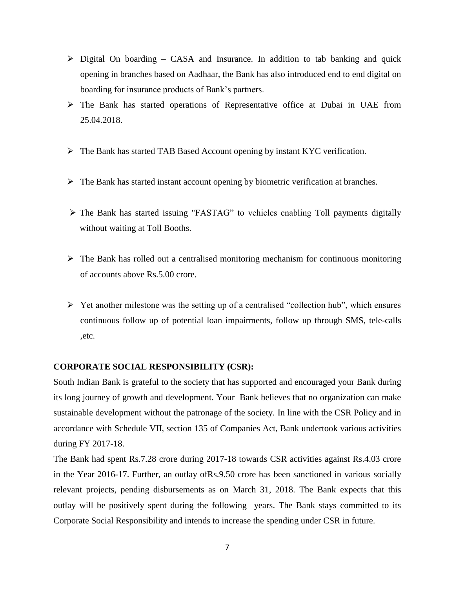- $\triangleright$  Digital On boarding CASA and Insurance. In addition to tab banking and quick opening in branches based on Aadhaar, the Bank has also introduced end to end digital on boarding for insurance products of Bank's partners.
- The Bank has started operations of Representative office at Dubai in UAE from 25.04.2018.
- The Bank has started TAB Based Account opening by instant KYC verification.
- $\triangleright$  The Bank has started instant account opening by biometric verification at branches.
- The Bank has started issuing "FASTAG" to vehicles enabling Toll payments digitally without waiting at Toll Booths.
- $\triangleright$  The Bank has rolled out a centralised monitoring mechanism for continuous monitoring of accounts above Rs.5.00 crore.
- $\triangleright$  Yet another milestone was the setting up of a centralised "collection hub", which ensures continuous follow up of potential loan impairments, follow up through SMS, tele-calls ,etc.

# **CORPORATE SOCIAL RESPONSIBILITY (CSR):**

South Indian Bank is grateful to the society that has supported and encouraged your Bank during its long journey of growth and development. Your Bank believes that no organization can make sustainable development without the patronage of the society. In line with the CSR Policy and in accordance with Schedule VII, section 135 of Companies Act, Bank undertook various activities during FY 2017-18.

The Bank had spent Rs.7.28 crore during 2017-18 towards CSR activities against Rs.4.03 crore in the Year 2016-17. Further, an outlay ofRs.9.50 crore has been sanctioned in various socially relevant projects, pending disbursements as on March 31, 2018. The Bank expects that this outlay will be positively spent during the following years. The Bank stays committed to its Corporate Social Responsibility and intends to increase the spending under CSR in future.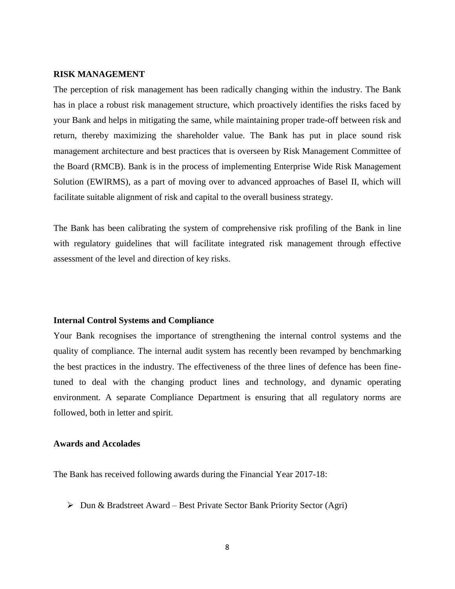## **RISK MANAGEMENT**

The perception of risk management has been radically changing within the industry. The Bank has in place a robust risk management structure, which proactively identifies the risks faced by your Bank and helps in mitigating the same, while maintaining proper trade-off between risk and return, thereby maximizing the shareholder value. The Bank has put in place sound risk management architecture and best practices that is overseen by Risk Management Committee of the Board (RMCB). Bank is in the process of implementing Enterprise Wide Risk Management Solution (EWIRMS), as a part of moving over to advanced approaches of Basel II, which will facilitate suitable alignment of risk and capital to the overall business strategy.

The Bank has been calibrating the system of comprehensive risk profiling of the Bank in line with regulatory guidelines that will facilitate integrated risk management through effective assessment of the level and direction of key risks.

# **Internal Control Systems and Compliance**

Your Bank recognises the importance of strengthening the internal control systems and the quality of compliance. The internal audit system has recently been revamped by benchmarking the best practices in the industry. The effectiveness of the three lines of defence has been finetuned to deal with the changing product lines and technology, and dynamic operating environment. A separate Compliance Department is ensuring that all regulatory norms are followed, both in letter and spirit.

#### **Awards and Accolades**

The Bank has received following awards during the Financial Year 2017-18:

 $\triangleright$  Dun & Bradstreet Award – Best Private Sector Bank Priority Sector (Agri)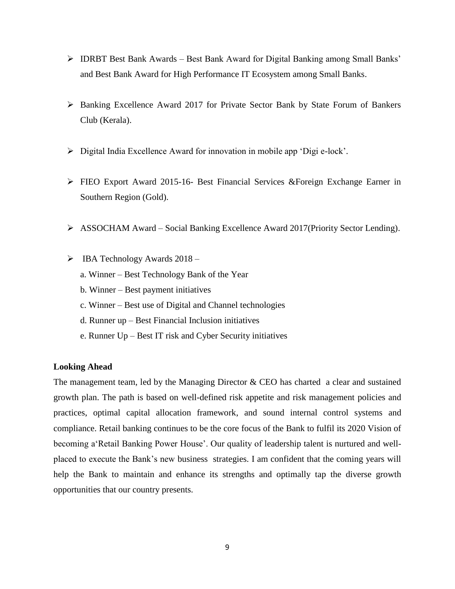- $\triangleright$  IDRBT Best Bank Awards Best Bank Award for Digital Banking among Small Banks' and Best Bank Award for High Performance IT Ecosystem among Small Banks.
- Banking Excellence Award 2017 for Private Sector Bank by State Forum of Bankers Club (Kerala).
- Digital India Excellence Award for innovation in mobile app 'Digi e-lock'.
- FIEO Export Award 2015-16- Best Financial Services &Foreign Exchange Earner in Southern Region (Gold).
- ASSOCHAM Award Social Banking Excellence Award 2017(Priority Sector Lending).
- $\triangleright$  IBA Technology Awards 2018
	- a. Winner Best Technology Bank of the Year
	- b. Winner Best payment initiatives
	- c. Winner Best use of Digital and Channel technologies
	- d. Runner up Best Financial Inclusion initiatives
	- e. Runner Up Best IT risk and Cyber Security initiatives

## **Looking Ahead**

The management team, led by the Managing Director & CEO has charted a clear and sustained growth plan. The path is based on well-defined risk appetite and risk management policies and practices, optimal capital allocation framework, and sound internal control systems and compliance. Retail banking continues to be the core focus of the Bank to fulfil its 2020 Vision of becoming a'Retail Banking Power House'. Our quality of leadership talent is nurtured and wellplaced to execute the Bank's new business strategies. I am confident that the coming years will help the Bank to maintain and enhance its strengths and optimally tap the diverse growth opportunities that our country presents.